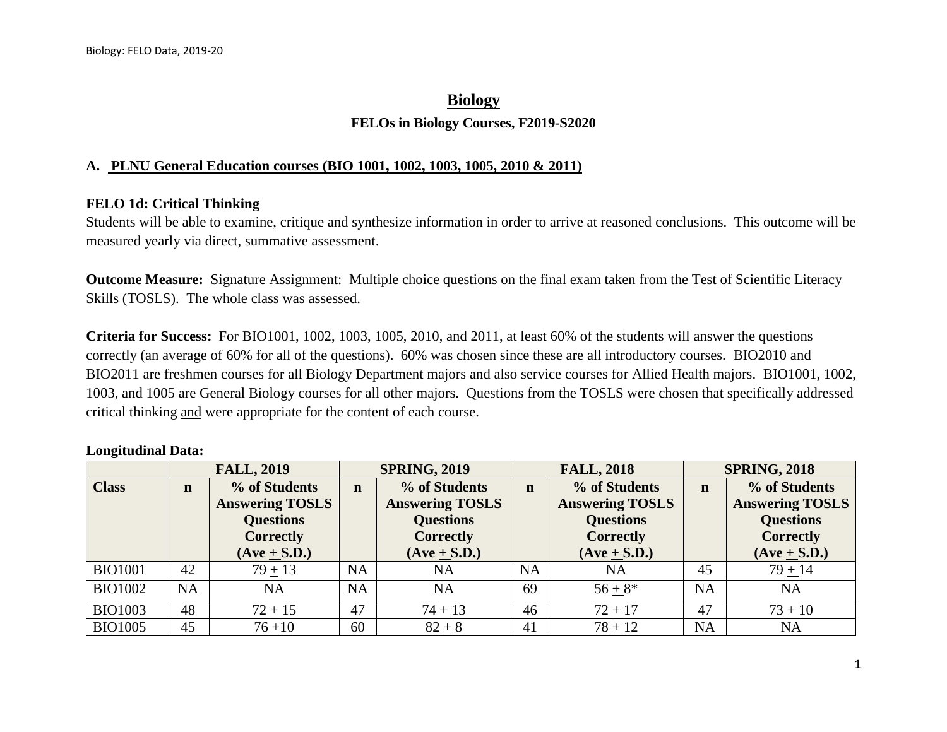# **Biology FELOs in Biology Courses, F2019-S2020**

### **A. PLNU General Education courses (BIO 1001, 1002, 1003, 1005, 2010 & 2011)**

## **FELO 1d: Critical Thinking**

Students will be able to examine, critique and synthesize information in order to arrive at reasoned conclusions. This outcome will be measured yearly via direct, summative assessment.

**Outcome Measure:** Signature Assignment: Multiple choice questions on the final exam taken from the Test of Scientific Literacy Skills (TOSLS). The whole class was assessed.

**Criteria for Success:** For BIO1001, 1002, 1003, 1005, 2010, and 2011, at least 60% of the students will answer the questions correctly (an average of 60% for all of the questions). 60% was chosen since these are all introductory courses. BIO2010 and BIO2011 are freshmen courses for all Biology Department majors and also service courses for Allied Health majors. BIO1001, 1002, 1003, and 1005 are General Biology courses for all other majors. Questions from the TOSLS were chosen that specifically addressed critical thinking and were appropriate for the content of each course.

|                | <b>FALL, 2019</b> |                        | <b>SPRING, 2019</b> |                                      | <b>FALL, 2018</b>            |                        | <b>SPRING, 2018</b> |                        |
|----------------|-------------------|------------------------|---------------------|--------------------------------------|------------------------------|------------------------|---------------------|------------------------|
| <b>Class</b>   | $\mathbf n$       | % of Students          | $\mathbf n$         | % of Students                        | % of Students<br>$\mathbf n$ |                        | $\mathbf n$         | % of Students          |
|                |                   | <b>Answering TOSLS</b> |                     | <b>Answering TOSLS</b>               |                              | <b>Answering TOSLS</b> |                     | <b>Answering TOSLS</b> |
|                |                   | <b>Questions</b>       |                     | <b>Questions</b><br><b>Questions</b> |                              |                        | <b>Questions</b>    |                        |
|                |                   | <b>Correctly</b>       |                     | <b>Correctly</b>                     | <b>Correctly</b>             |                        |                     | <b>Correctly</b>       |
|                |                   | $(Ave + S.D.)$         |                     | $(Ave + S.D.)$                       |                              | $(Ave + S.D.)$         |                     | $(Ave + S.D.)$         |
| <b>BIO1001</b> | 42                | $79 + 13$              | <b>NA</b>           | <b>NA</b>                            | <b>NA</b>                    | <b>NA</b>              | 45                  | $79 + 14$              |
| <b>BIO1002</b> | <b>NA</b>         | <b>NA</b>              | <b>NA</b>           | <b>NA</b>                            | 69                           | $56 + 8*$              | <b>NA</b>           | <b>NA</b>              |
| <b>BIO1003</b> | 48                | $72 + 15$              | 47                  | $74 + 13$                            | 46                           | $72 + 17$              | 47                  | $73 + 10$              |
| <b>BIO1005</b> | 45                | $76 + 10$              | 60                  | $82 + 8$                             | 41                           | $78 + 12$              | <b>NA</b>           | <b>NA</b>              |

#### **Longitudinal Data:**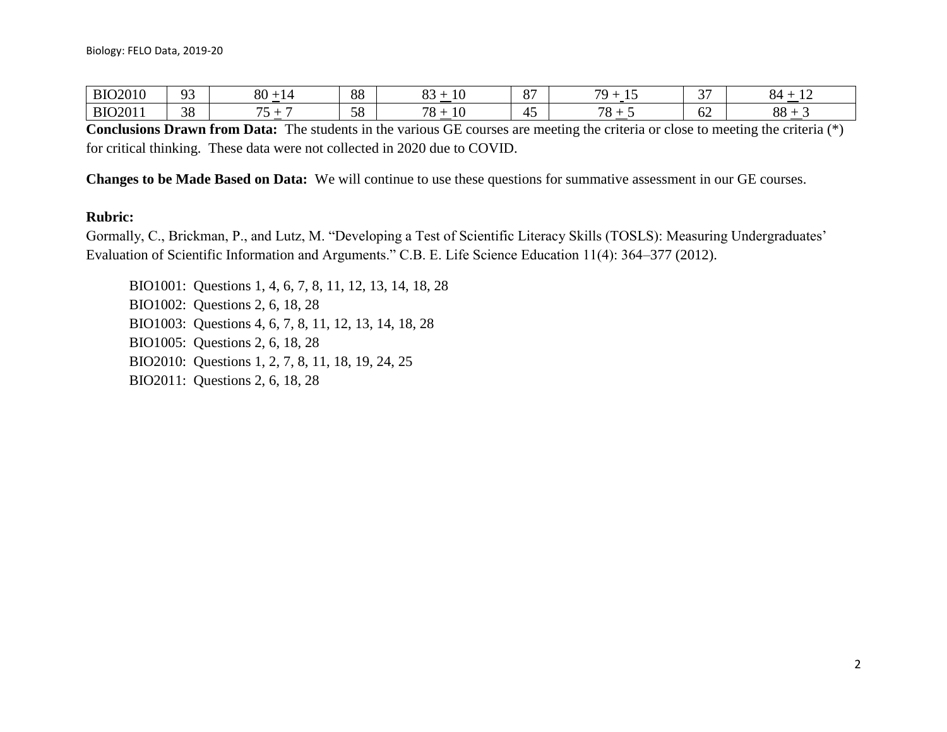| <b>BIO2010</b> | $\Omega$<br>. .<br>. . | $\Omega$<br>ου<br><b>Contract Contract Contract</b> | $\Omega$<br>$\circ$        | $\sim$ $\sim$<br>$\overline{10}$<br>1 U<br><u>and the set of the set of the set of the set of the set of the set of the set of the set of the set of the set of the set of the set of the set of the set of the set of the set of the set of the set of the set of the set </u> | $\sim$<br>$\cdot$<br>о. | 70<br>.       | $\sim$<br>ັ | $\overline{\phantom{a}}$<br>.<br>∸⊿<br>$\overline{\phantom{0}}$ |
|----------------|------------------------|-----------------------------------------------------|----------------------------|---------------------------------------------------------------------------------------------------------------------------------------------------------------------------------------------------------------------------------------------------------------------------------|-------------------------|---------------|-------------|-----------------------------------------------------------------|
| <b>BIO2011</b> | $\Omega$<br>.,<br>◡    | $\overline{a}$                                      | $\sim$ $\sim$<br>. .<br>J0 | 70<br>$\mathsf{L}$<br>$\Omega$<br>1 U                                                                                                                                                                                                                                           |                         | 70<br>$\circ$ | - -<br>OΖ   | 00<br>oo<br>--                                                  |

**Conclusions Drawn from Data:** The students in the various GE courses are meeting the criteria or close to meeting the criteria (\*) for critical thinking. These data were not collected in 2020 due to COVID.

**Changes to be Made Based on Data:** We will continue to use these questions for summative assessment in our GE courses.

### **Rubric:**

Gormally, C., Brickman, P., and Lutz, M. "Developing a Test of Scientific Literacy Skills (TOSLS): Measuring Undergraduates' Evaluation of Scientific Information and Arguments." C.B. E. Life Science Education 11(4): 364–377 (2012).

BIO1001: Questions 1, 4, 6, 7, 8, 11, 12, 13, 14, 18, 28 BIO1002: Questions 2, 6, 18, 28 BIO1003: Questions 4, 6, 7, 8, 11, 12, 13, 14, 18, 28 BIO1005: Questions 2, 6, 18, 28 BIO2010: Questions 1, 2, 7, 8, 11, 18, 19, 24, 25 BIO2011: Questions 2, 6, 18, 28